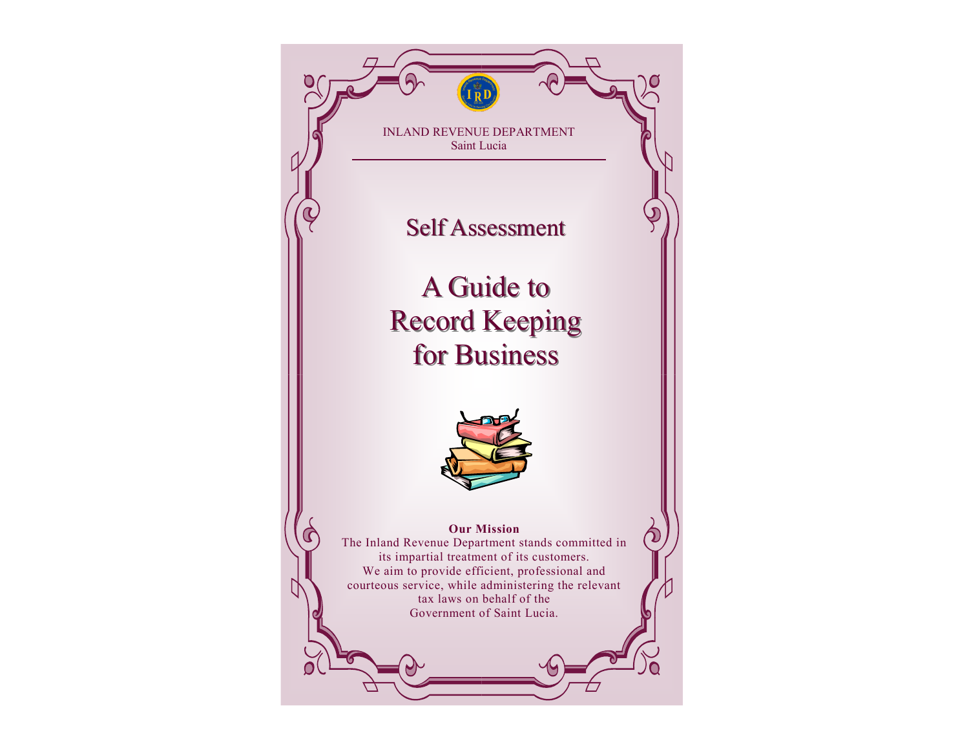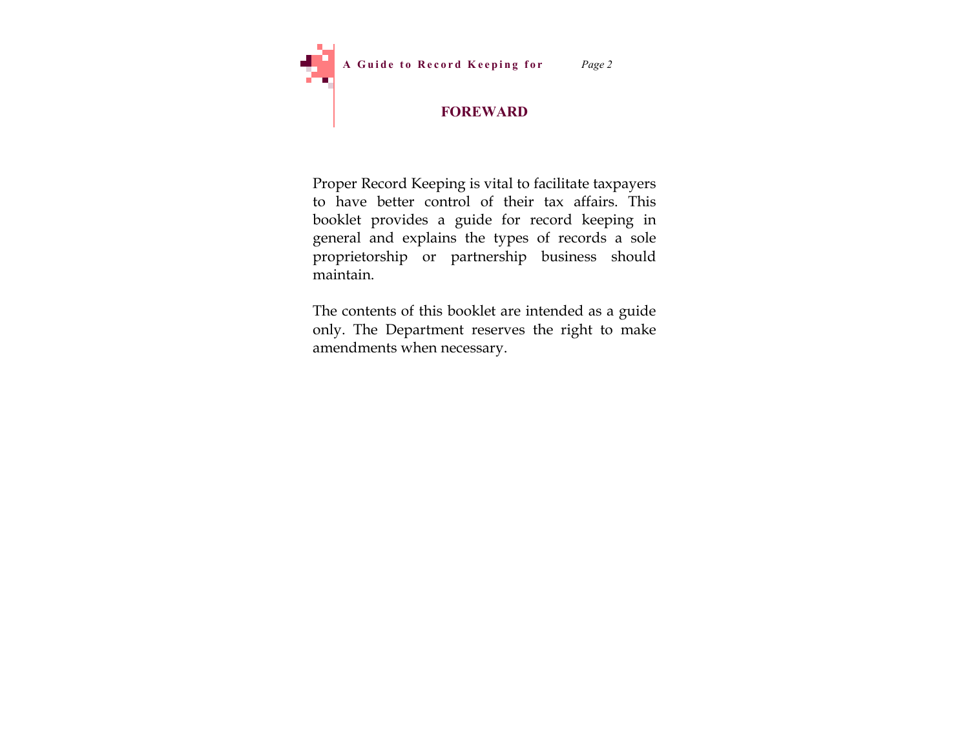

# **FOREWARD**

Proper Record Keeping is vital to facilitate taxpayers to have better control of their tax affairs. This booklet provides a guide for record keeping in general and explains the types of records a sole proprietorship or partnership business should maintain.

The contents of this booklet are intended as a guide only. The Department reserves the right to make amendments when necessary.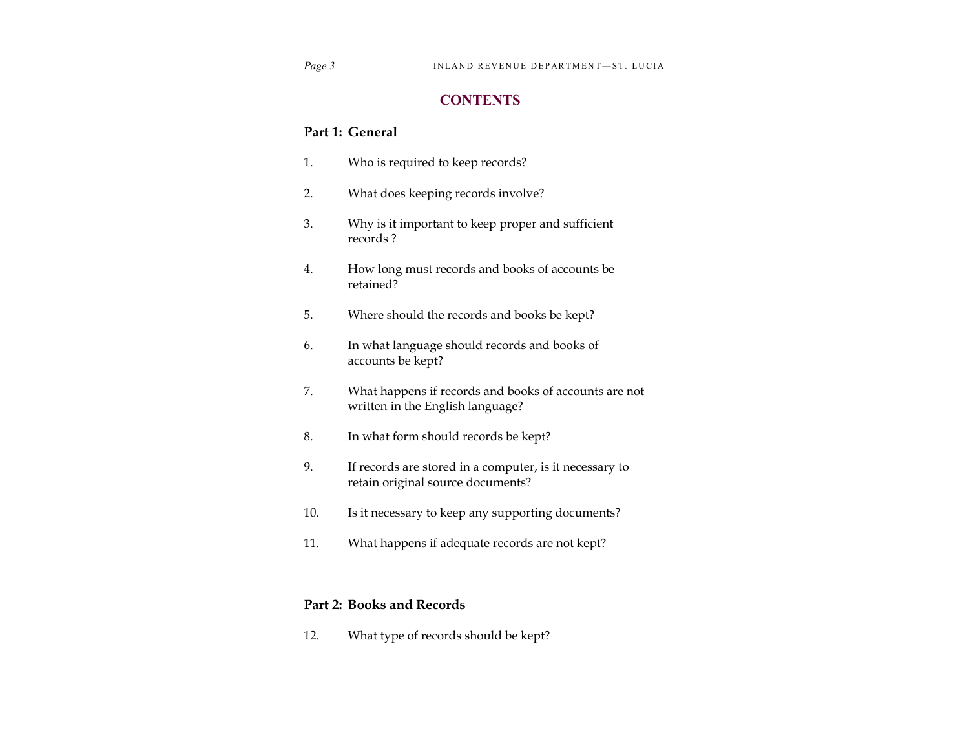# **CONTENTS**

## **Part 1: General**

- 1. Who is required to keep records?
- 2. What does keeping records involve?
- 3. Why is it important to keep proper and sufficient records ?
- 4. How long must records and books of accounts be retained?
- 5. Where should the records and books be kept?
- 6. In what language should records and books of accounts be kept?
- 7. What happens if records and books of accounts are not written in the English language?
- 8. In what form should records be kept?
- 9. If records are stored in a computer, is it necessary to retain original source documents?
- 10. Is it necessary to keep any supporting documents?
- 11. What happens if adequate records are not kept?

### **Part 2: Books and Records**

12. What type of records should be kept?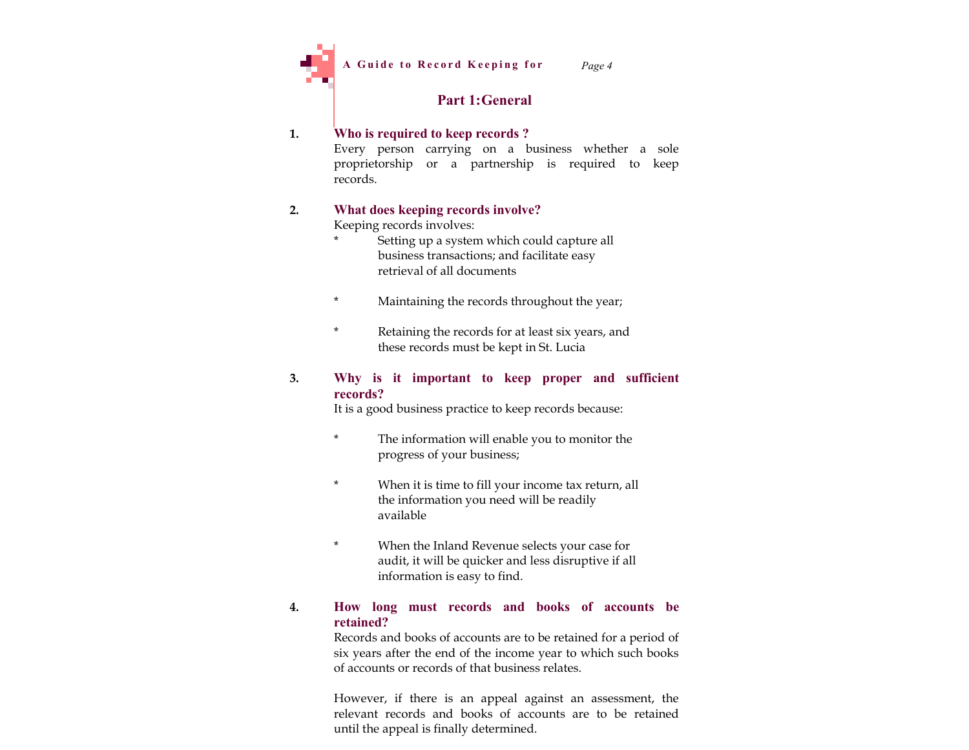

*Page 4*

# **Part 1:General**

### **1. Who is required to keep records ?**

Every person carrying on a business whether a sole proprietorship or a partnership is required to keep records.

### **2. What does keeping records involve?**

Keeping records involves:

- Setting up a system which could capture all business transactions; and facilitate easy retrieval of all documents
- \* Maintaining the records throughout the year;
- \* Retaining the records for at least six years, and these records must be kept in St. Lucia

#### **3. Why is it important to keep proper and sufficient records?**

It is a good business practice to keep records because:

- The information will enable you to monitor the progress of your business;
- \* When it is time to fill your income tax return, all the information you need will be readily available
- \* When the Inland Revenue selects your case for audit, it will be quicker and less disruptive if all information is easy to find.

### **4. How long must records and books of accounts be retained?**

Records and books of accounts are to be retained for a period of six years after the end of the income year to which such books of accounts or records of that business relates.

However, if there is an appeal against an assessment, the relevant records and books of accounts are to be retained until the appeal is finally determined.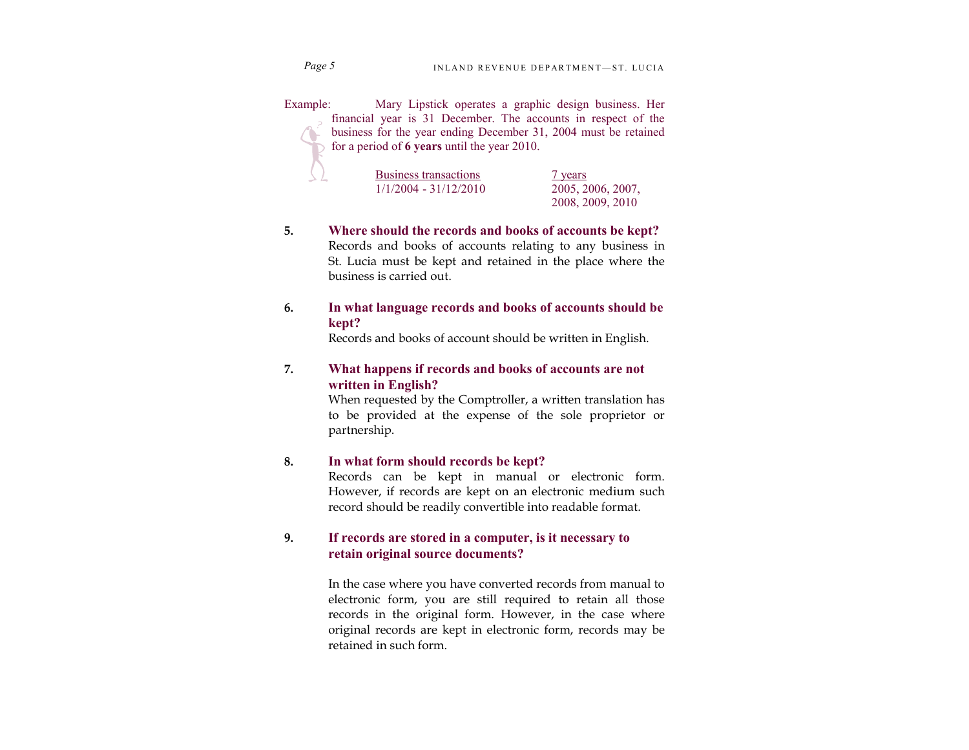*Page 5*

Example: Mary Lipstick operates a graphic design business. Her financial year is 31 December. The accounts in respect of the business for the year ending December 31, 2004 must be retained for a period of **6 years** until the year 2010.

| Business transactions   | 7 years           |
|-------------------------|-------------------|
| $1/1/2004 - 31/12/2010$ | 2005, 2006, 2007, |
|                         | 2008, 2009, 2010  |

- **5. Where should the records and books of accounts be kept?** Records and books of accounts relating to any business in St. Lucia must be kept and retained in the place where the business is carried out.
- **6. In what language records and books of accounts should be kept?**

Records and books of account should be written in English.

### **7. What happens if records and books of accounts are not written in English?**

When requested by the Comptroller, a written translation has to be provided at the expense of the sole proprietor or partnership.

#### **8. In what form should records be kept?**

Records can be kept in manual or electronic form. However, if records are kept on an electronic medium such record should be readily convertible into readable format.

#### **9. If records are stored in a computer, is it necessary to retain original source documents?**

In the case where you have converted records from manual to electronic form, you are still required to retain all those records in the original form. However, in the case where original records are kept in electronic form, records may be retained in such form.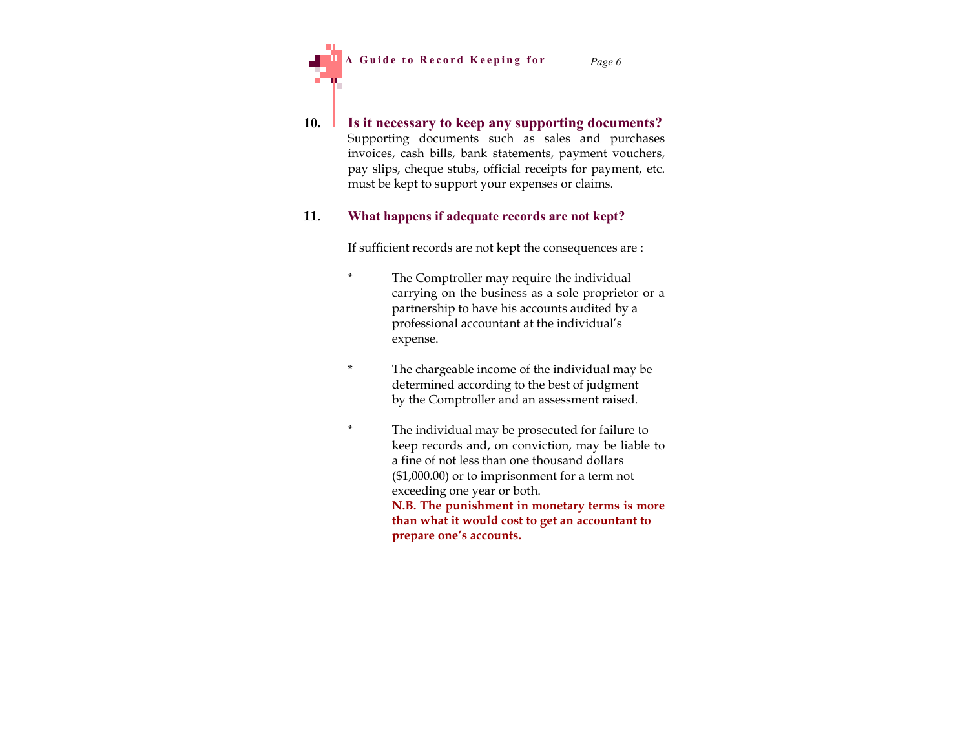A Guide to Record Keeping for *Page 6* 



#### **11. What happens if adequate records are not kept?**

If sufficient records are not kept the consequences are :

- The Comptroller may require the individual carrying on the business as a sole proprietor or a partnership to have his accounts audited by a professional accountant at the individual's expense.
- \* The chargeable income of the individual may be determined according to the best of judgment by the Comptroller and an assessment raised.
- \* The individual may be prosecuted for failure to keep records and, on conviction, may be liable to a fine of not less than one thousand dollars (\$1,000.00) or to imprisonment for a term not exceeding one year or both. **N.B. The punishment in monetary terms is more than what it would cost to get an accountant to prepare one's accounts.**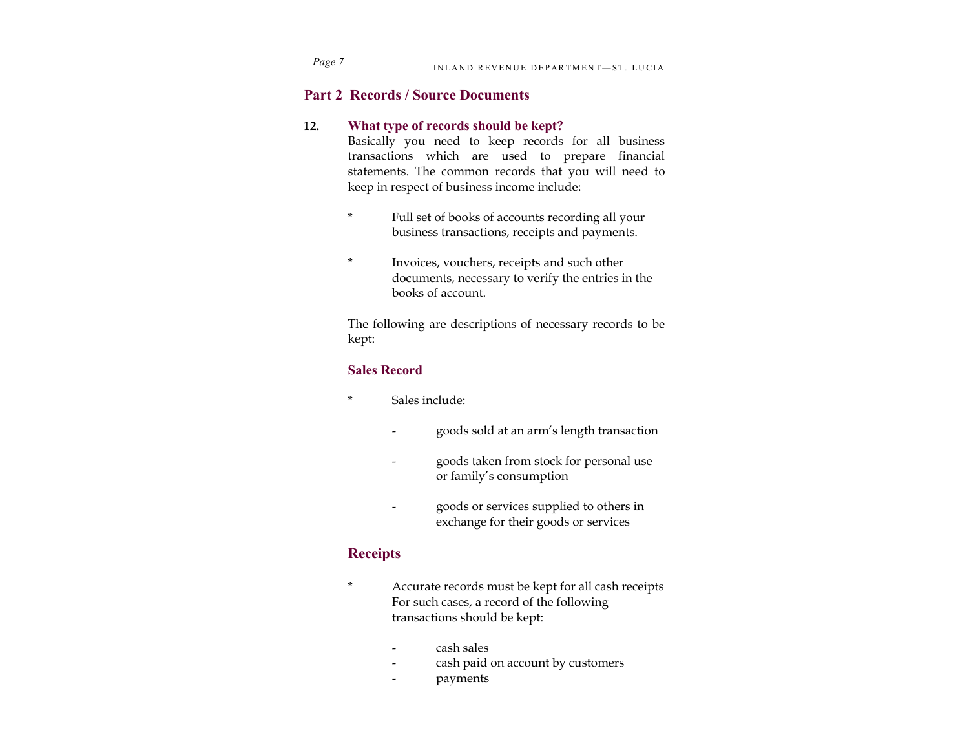# **Part 2 Records / Source Documents**

#### **12. What type of records should be kept?**

Basically you need to keep records for all business transactions which are used to prepare financial statements. The common records that you will need to keep in respect of business income include:

- Full set of books of accounts recording all your business transactions, receipts and payments.
- \* Invoices, vouchers, receipts and such other documents, necessary to verify the entries in the books of account.

The following are descriptions of necessary records to be kept:

### **Sales Record**

- Sales include:
	- goods sold at an arm's length transaction
	- goods taken from stock for personal use or family's consumption
	- goods or services supplied to others in exchange for their goods or services

# **Receipts**

- \* Accurate records must be kept for all cash receipts For such cases, a record of the following transactions should be kept:
	- cash sales
	- cash paid on account by customers
	- payments

*Page 7*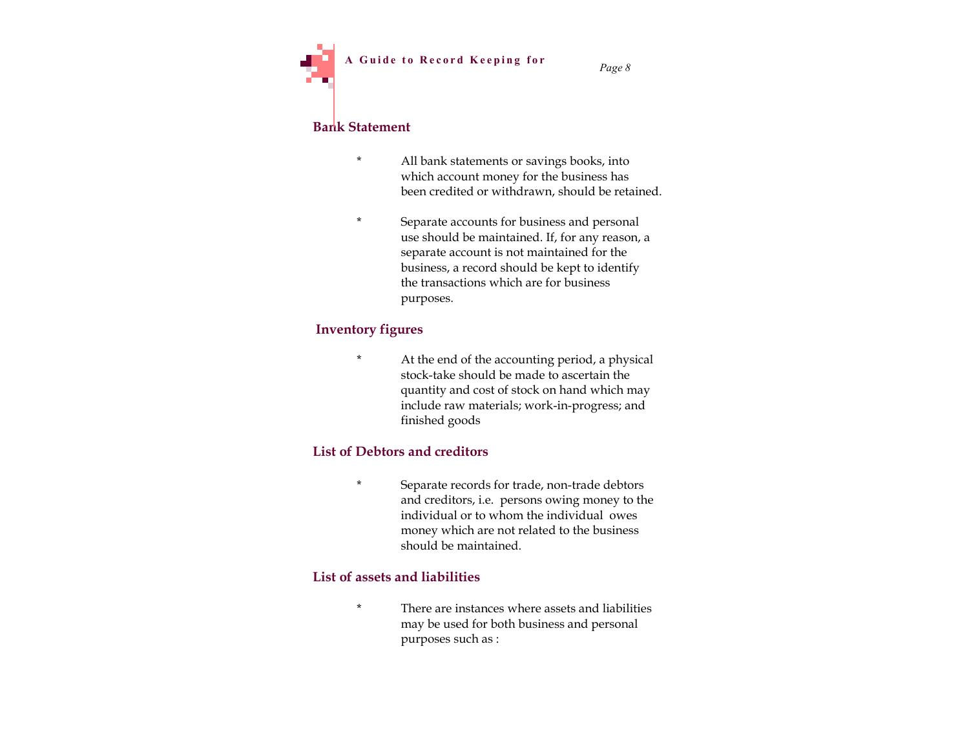# **Bank Statement**

- \* All bank statements or savings books, into which account money for the business has been credited or withdrawn, should be retained.
- \* Separate accounts for business and personal use should be maintained. If, for any reason, a separate account is not maintained for the business, a record should be kept to identify the transactions which are for business purposes.

### **Inventory figures**

At the end of the accounting period, a physical stock-take should be made to ascertain the quantity and cost of stock on hand which may include raw materials; work-in-progress; and finished goods

### **List of Debtors and creditors**

Separate records for trade, non-trade debtors and creditors, i.e. persons owing money to the individual or to whom the individual owes money which are not related to the business should be maintained.

### **List of assets and liabilities**

There are instances where assets and liabilities may be used for both business and personal purposes such as :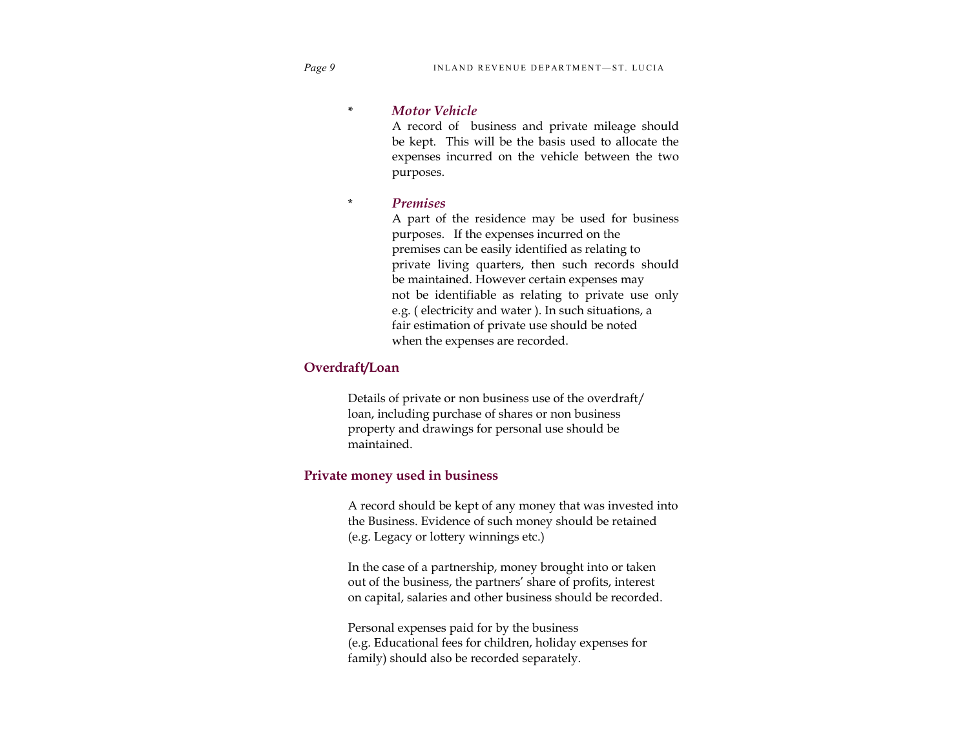**\*** *Motor Vehicle*

A record of business and private mileage should be kept. This will be the basis used to allocate the expenses incurred on the vehicle between the two purposes.

\* *Premises*

A part of the residence may be used for business purposes. If the expenses incurred on the premises can be easily identified as relating to private living quarters, then such records should be maintained. However certain expenses may not be identifiable as relating to private use only e.g. ( electricity and water ). In such situations, a fair estimation of private use should be noted when the expenses are recorded.

#### **Overdraft/Loan**

Details of private or non business use of the overdraft/ loan, including purchase of shares or non business property and drawings for personal use should be maintained.

#### **Private money used in business**

A record should be kept of any money that was invested into the Business. Evidence of such money should be retained (e.g. Legacy or lottery winnings etc.)

In the case of a partnership, money brought into or taken out of the business, the partners' share of profits, interest on capital, salaries and other business should be recorded.

Personal expenses paid for by the business (e.g. Educational fees for children, holiday expenses for family) should also be recorded separately.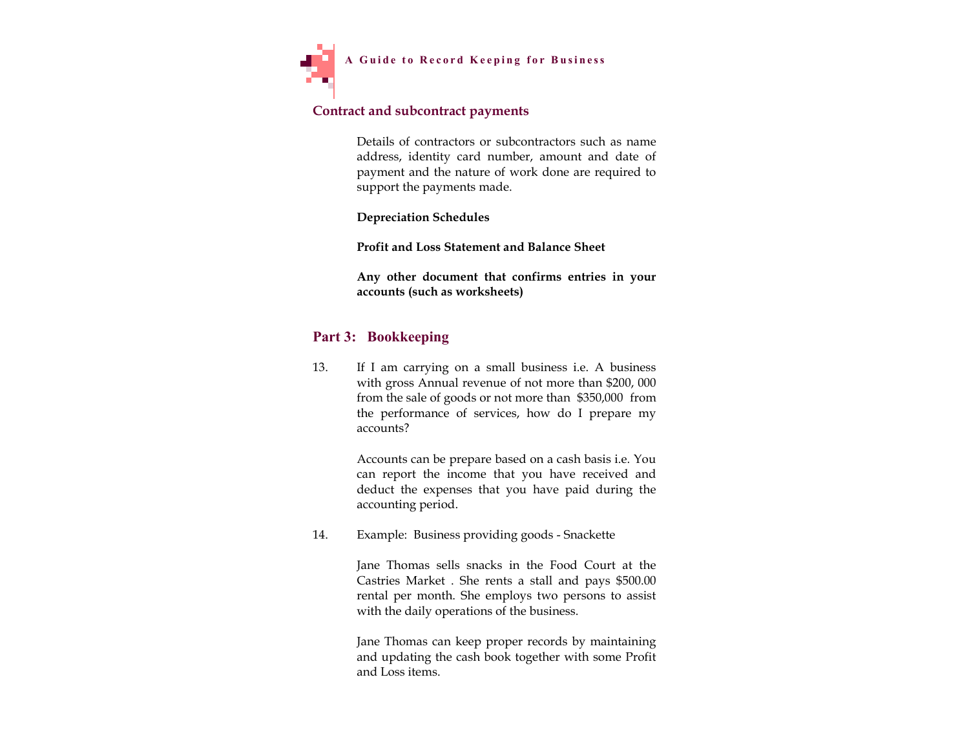

### **Contract and subcontract payments**

Details of contractors or subcontractors such as name address, identity card number, amount and date of payment and the nature of work done are required to support the payments made.

**Depreciation Schedules**

**Profit and Loss Statement and Balance Sheet**

**Any other document that confirms entries in your accounts (such as worksheets)**

# **Part 3: Bookkeeping**

13. If I am carrying on a small business i.e. A business with gross Annual revenue of not more than \$200, 000 from the sale of goods or not more than \$350,000 from the performance of services, how do I prepare my accounts?

> Accounts can be prepare based on a cash basis i.e. You can report the income that you have received and deduct the expenses that you have paid during the accounting period.

14. Example: Business providing goods - Snackette

Jane Thomas sells snacks in the Food Court at the Castries Market . She rents a stall and pays \$500.00 rental per month. She employs two persons to assist with the daily operations of the business.

Jane Thomas can keep proper records by maintaining and updating the cash book together with some Profit and Loss items.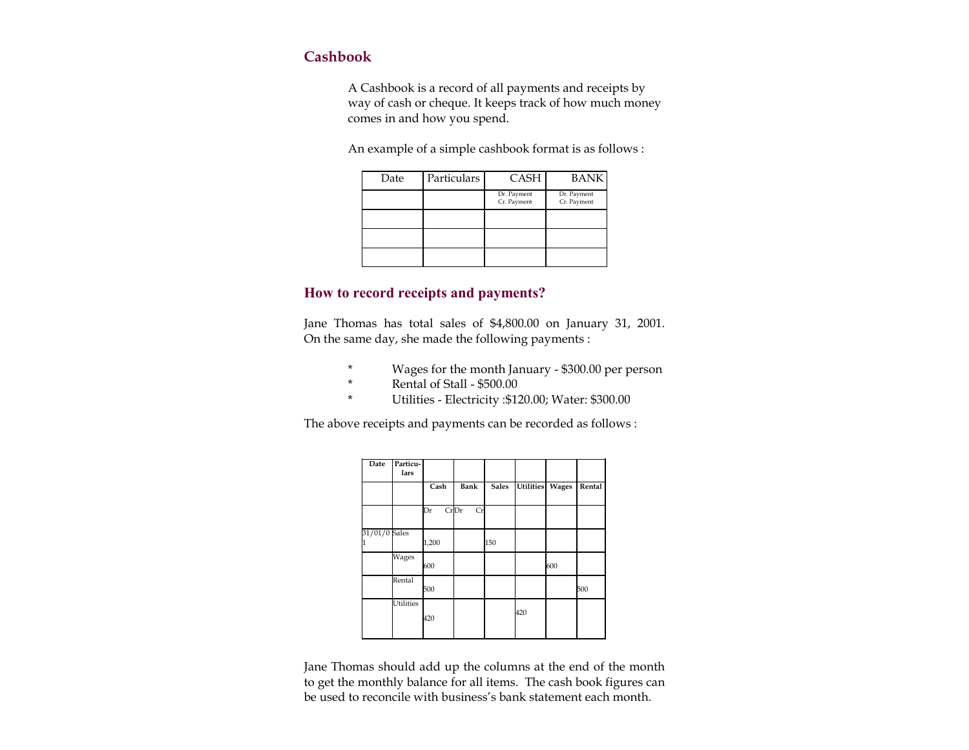# **Cashbook**

A Cashbook is a record of all payments and receipts by way of cash or cheque. It keeps track of how much money comes in and how you spend.

An example of a simple cashbook format is as follows :

| Date | Particulars | <b>CASH</b>                | <b>BANK</b>                |
|------|-------------|----------------------------|----------------------------|
|      |             | Dr. Payment<br>Cr. Payment | Dr. Payment<br>Cr. Payment |
|      |             |                            |                            |
|      |             |                            |                            |
|      |             |                            |                            |

# **How to record receipts and payments?**

Jane Thomas has total sales of \$4,800.00 on January 31, 2001. On the same day, she made the following payments :

- \* Wages for the month January \$300.00 per person
- \* Rental of Stall  $$500.00$ 
	- \* Utilities Electricity :\$120.00; Water: \$300.00

The above receipts and payments can be recorded as follows :

| Date          | Particu-<br>lars |            |      |              |                 |     |        |
|---------------|------------------|------------|------|--------------|-----------------|-----|--------|
|               |                  | Cash       | Bank | <b>Sales</b> | Utilities Wages |     | Rental |
|               |                  | CrDr<br>Dr | Cr   |              |                 |     |        |
| 31/01/0 Sales |                  | 1,200      |      | 150          |                 |     |        |
|               | Wages            | 600        |      |              |                 | 600 |        |
|               | Rental           | 500        |      |              |                 |     | 500    |
|               | <b>Utilities</b> | 420        |      |              | 420             |     |        |

Jane Thomas should add up the columns at the end of the month to get the monthly balance for all items. The cash book figures can be used to reconcile with business's bank statement each month.